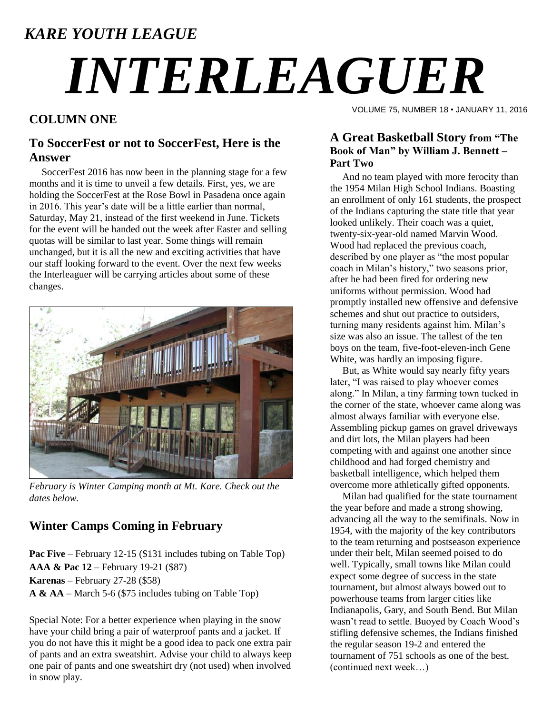### *KARE YOUTH LEAGUE*

# *INTERLEAGUER*

#### **COLUMN ONE**

#### **To SoccerFest or not to SoccerFest, Here is the Answer**

 SoccerFest 2016 has now been in the planning stage for a few months and it is time to unveil a few details. First, yes, we are holding the SoccerFest at the Rose Bowl in Pasadena once again in 2016. This year"s date will be a little earlier than normal, Saturday, May 21, instead of the first weekend in June. Tickets for the event will be handed out the week after Easter and selling quotas will be similar to last year. Some things will remain unchanged, but it is all the new and exciting activities that have our staff looking forward to the event. Over the next few weeks the Interleaguer will be carrying articles about some of these changes.



*February is Winter Camping month at Mt. Kare. Check out the dates below.*

#### **Winter Camps Coming in February**

**Pac Five** – February 12-15 (\$131 includes tubing on Table Top) **AAA & Pac 12** – February 19-21 (\$87) **Karenas** – February 27-28 (\$58) **A & AA** – March 5-6 (\$75 includes tubing on Table Top)

Special Note: For a better experience when playing in the snow have your child bring a pair of waterproof pants and a jacket. If you do not have this it might be a good idea to pack one extra pair of pants and an extra sweatshirt. Advise your child to always keep one pair of pants and one sweatshirt dry (not used) when involved in snow play.

VOLUME 75, NUMBER 18 • JANUARY 11, 2016

#### **A Great Basketball Story from "The Book of Man" by William J. Bennett – Part Two**

 And no team played with more ferocity than the 1954 Milan High School Indians. Boasting an enrollment of only 161 students, the prospect of the Indians capturing the state title that year looked unlikely. Their coach was a quiet, twenty-six-year-old named Marvin Wood. Wood had replaced the previous coach, described by one player as "the most popular coach in Milan"s history," two seasons prior, after he had been fired for ordering new uniforms without permission. Wood had promptly installed new offensive and defensive schemes and shut out practice to outsiders, turning many residents against him. Milan"s size was also an issue. The tallest of the ten boys on the team, five-foot-eleven-inch Gene White, was hardly an imposing figure.

 But, as White would say nearly fifty years later, "I was raised to play whoever comes along." In Milan, a tiny farming town tucked in the corner of the state, whoever came along was almost always familiar with everyone else. Assembling pickup games on gravel driveways and dirt lots, the Milan players had been competing with and against one another since childhood and had forged chemistry and basketball intelligence, which helped them overcome more athletically gifted opponents.

 Milan had qualified for the state tournament the year before and made a strong showing, advancing all the way to the semifinals. Now in 1954, with the majority of the key contributors to the team returning and postseason experience under their belt, Milan seemed poised to do well. Typically, small towns like Milan could expect some degree of success in the state tournament, but almost always bowed out to powerhouse teams from larger cities like Indianapolis, Gary, and South Bend. But Milan wasn"t read to settle. Buoyed by Coach Wood"s stifling defensive schemes, the Indians finished the regular season 19-2 and entered the tournament of 751 schools as one of the best. (continued next week…)